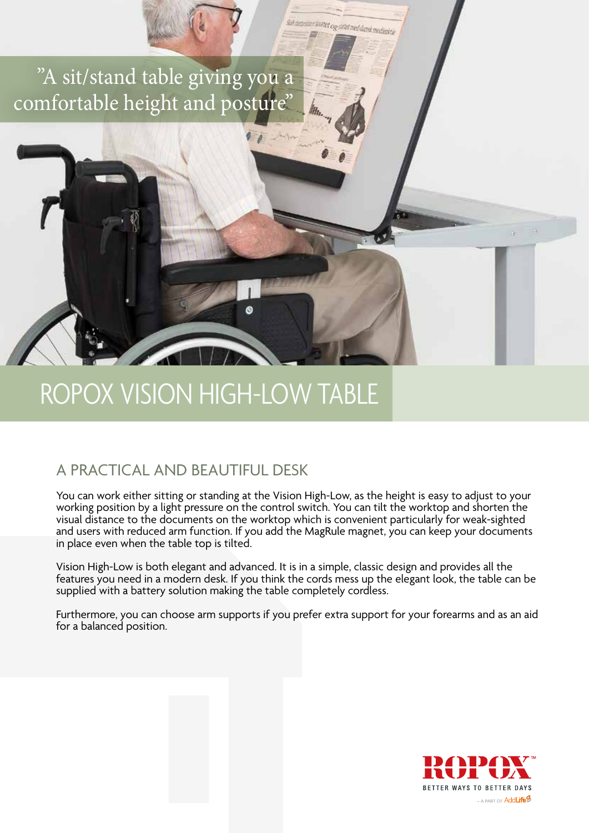"A sit/stand table giving you a comfortable height and posture"

ROPOX VISION HIGH-LOW TABLE

## A PRACTICAL AND BEAUTIFUL DESK

You can work either sitting or standing at the Vision High-Low, as the height is easy to adjust to your working position by a light pressure on the control switch. You can tilt the worktop and shorten the visual distance to the documents on the worktop which is convenient particularly for weak-sighted and users with reduced arm function. If you add the MagRule magnet, you can keep your documents in place even when the table top is tilted.

suk ancienne weitet og salet med dansk medientre

Vision High-Low is both elegant and advanced. It is in a simple, classic design and provides all the features you need in a modern desk. If you think the cords mess up the elegant look, the table can be supplied with a battery solution making the table completely cordless.

Furthermore, you can choose arm supports if you prefer extra support for your forearms and as an aid for a balanced position.